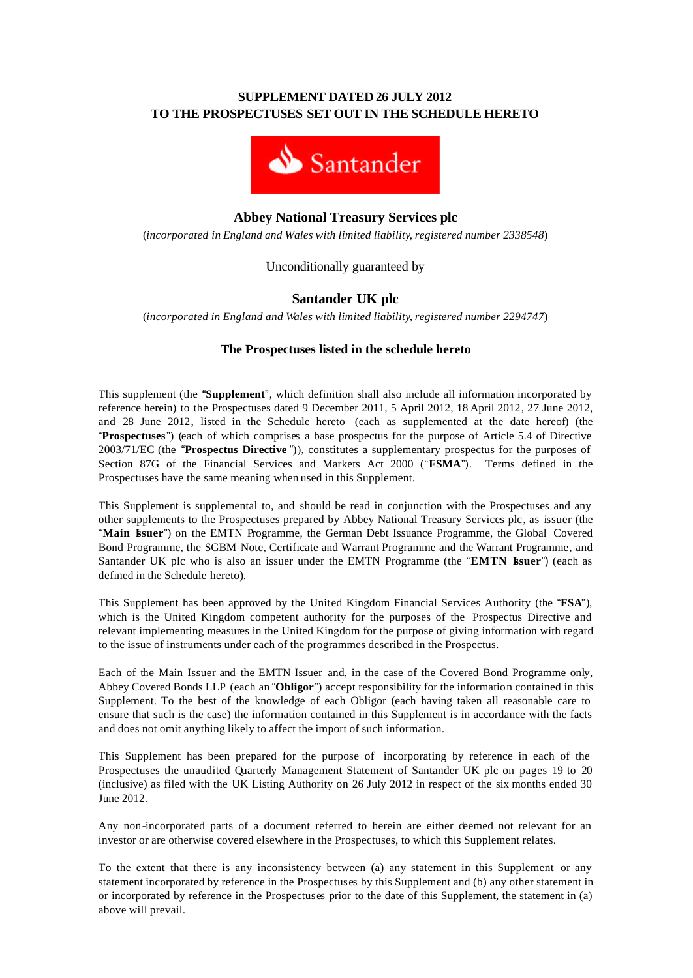# **SUPPLEMENT DATED 26 JULY 2012 TO THE PROSPECTUSES SET OUT IN THE SCHEDULE HERETO**



# **Abbey National Treasury Services plc**

(*incorporated in England and Wales with limited liability, registered number 2338548*)

## Unconditionally guaranteed by

# **Santander UK plc**

(*incorporated in England and Wales with limited liability, registered number 2294747*)

## **The Prospectuses listed in the schedule hereto**

This supplement (the "**Supplement**", which definition shall also include all information incorporated by reference herein) to the Prospectuses dated 9 December 2011, 5 April 2012, 18 April 2012, 27 June 2012, and 28 June 2012, listed in the Schedule hereto (each as supplemented at the date hereof) (the "**Prospectuses**") (each of which comprises a base prospectus for the purpose of Article 5.4 of Directive 2003/71/EC (the "**Prospectus Directive** ")), constitutes a supplementary prospectus for the purposes of Section 87G of the Financial Services and Markets Act 2000 ("**FSMA**"). Terms defined in the Prospectuses have the same meaning when used in this Supplement.

This Supplement is supplemental to, and should be read in conjunction with the Prospectuses and any other supplements to the Prospectuses prepared by Abbey National Treasury Services plc, as issuer (the "Main Isuer") on the EMTN Programme, the German Debt Issuance Programme, the Global Covered Bond Programme, the SGBM Note, Certificate and Warrant Programme and the Warrant Programme, and Santander UK plc who is also an issuer under the EMTN Programme (the "**EMTN Issuer**") (each as defined in the Schedule hereto).

This Supplement has been approved by the United Kingdom Financial Services Authority (the "**FSA**"), which is the United Kingdom competent authority for the purposes of the Prospectus Directive and relevant implementing measures in the United Kingdom for the purpose of giving information with regard to the issue of instruments under each of the programmes described in the Prospectus.

Each of the Main Issuer and the EMTN Issuer and, in the case of the Covered Bond Programme only, Abbey Covered Bonds LLP (each an "**Obligor**") accept responsibility for the information contained in this Supplement. To the best of the knowledge of each Obligor (each having taken all reasonable care to ensure that such is the case) the information contained in this Supplement is in accordance with the facts and does not omit anything likely to affect the import of such information.

This Supplement has been prepared for the purpose of incorporating by reference in each of the Prospectuses the unaudited Quarterly Management Statement of Santander UK plc on pages 19 to 20 (inclusive) as filed with the UK Listing Authority on 26 July 2012 in respect of the six months ended 30 June 2012.

Any non-incorporated parts of a document referred to herein are either deemed not relevant for an investor or are otherwise covered elsewhere in the Prospectuses, to which this Supplement relates.

To the extent that there is any inconsistency between (a) any statement in this Supplement or any statement incorporated by reference in the Prospectuses by this Supplement and (b) any other statement in or incorporated by reference in the Prospectuses prior to the date of this Supplement, the statement in (a) above will prevail.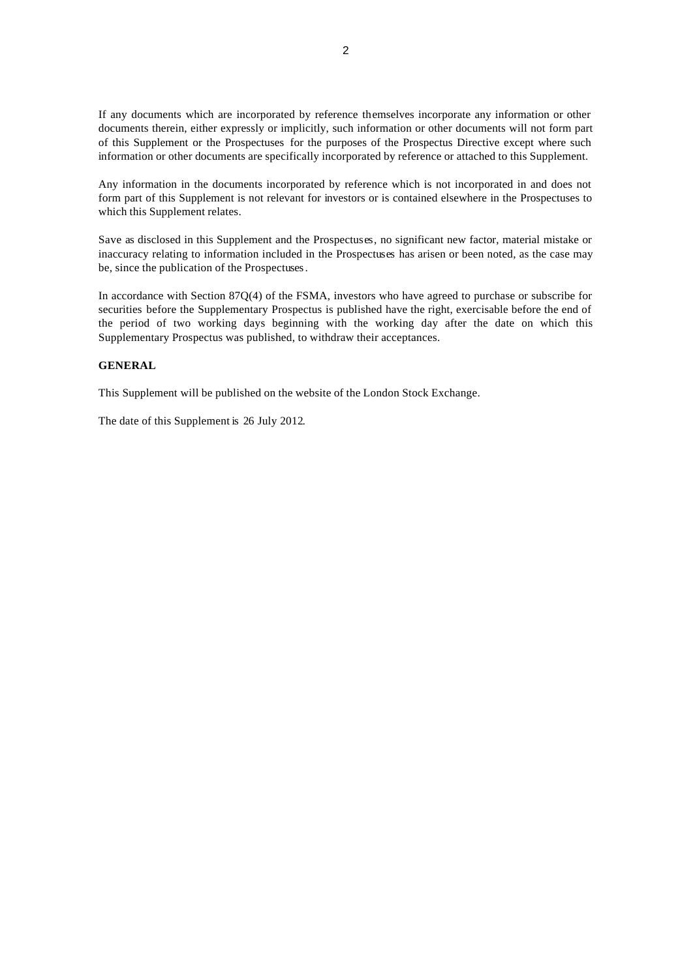If any documents which are incorporated by reference themselves incorporate any information or other documents therein, either expressly or implicitly, such information or other documents will not form part of this Supplement or the Prospectuses for the purposes of the Prospectus Directive except where such information or other documents are specifically incorporated by reference or attached to this Supplement.

Any information in the documents incorporated by reference which is not incorporated in and does not form part of this Supplement is not relevant for investors or is contained elsewhere in the Prospectuses to which this Supplement relates.

Save as disclosed in this Supplement and the Prospectuses, no significant new factor, material mistake or inaccuracy relating to information included in the Prospectuses has arisen or been noted, as the case may be, since the publication of the Prospectuses.

In accordance with Section 87Q(4) of the FSMA, investors who have agreed to purchase or subscribe for securities before the Supplementary Prospectus is published have the right, exercisable before the end of the period of two working days beginning with the working day after the date on which this Supplementary Prospectus was published, to withdraw their acceptances.

#### **GENERAL**

This Supplement will be published on the website of the London Stock Exchange.

The date of this Supplement is 26 July 2012.